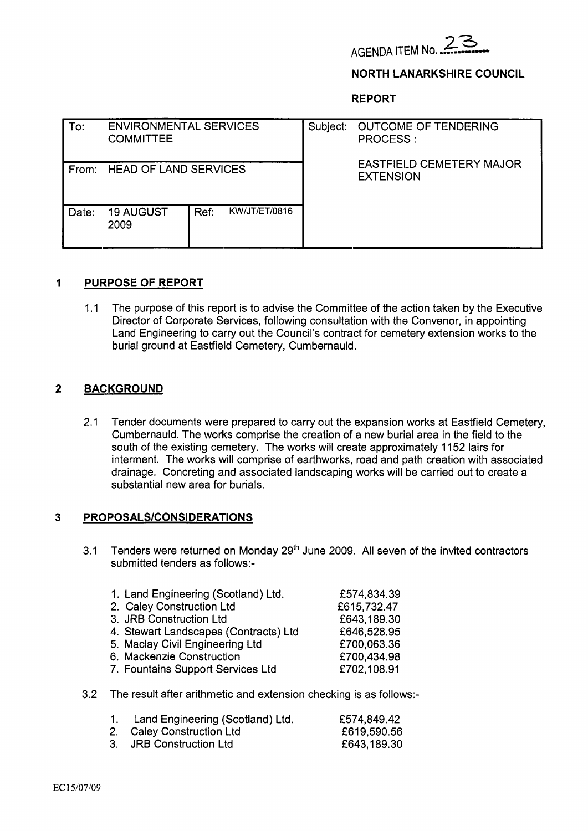

#### **NORTH LANARKSHIRE COUNCIL**

**REPORT** 

| To:   | <b>ENVIRONMENTAL SERVICES</b><br><b>COMMITTEE</b> |                       | Subject: OUTCOME OF TENDERING<br><b>PROCESS:</b>    |
|-------|---------------------------------------------------|-----------------------|-----------------------------------------------------|
| From: | <b>HEAD OF LAND SERVICES</b>                      |                       | <b>EASTFIELD CEMETERY MAJOR</b><br><b>EXTENSION</b> |
| Date: | <b>19 AUGUST</b><br>2009                          | KW/JT/ET/0816<br>Ref: |                                                     |

### **1 PURPOSE OF REPORT**

1 .I The purpose of this report is to advise the Committee of the action taken by the Executive Director of Corporate Services, following consultation with the Convenor, in appointing Land Engineering to carry out the Council's contract for cemetery extension works to the burial ground at Eastfield Cemetery, Cumbernauld.

### **2 BACKGROUND**

2.1 Tender documents were prepared to carry out the expansion works at Eastfield Cemetery, Cumbernauld. The works comprise the creation of a new burial area in the field to the south of the existing cemetery. The works will create approximately 1 152 lairs for interment. The works will comprise of earthworks, road and path creation with associated drainage. Concreting and associated landscaping works will be carried out to create a substantial new area for burials.

### **3 PROPOSALS/CONSIDERATlONS**

3.1 Tenders were returned on Monday  $29<sup>th</sup>$  June 2009. All seven of the invited contractors submitted tenders as follows:-

| 1. Land Engineering (Scotland) Ltd.   | £574,834.39 |
|---------------------------------------|-------------|
| 2. Caley Construction Ltd             | £615,732.47 |
| 3. JRB Construction Ltd               | £643,189.30 |
| 4. Stewart Landscapes (Contracts) Ltd | £646,528.95 |
| 5. Maclay Civil Engineering Ltd       | £700,063.36 |
| 6. Mackenzie Construction             | £700,434.98 |
| 7. Fountains Support Services Ltd     | £702,108.91 |
|                                       |             |

3.2 The result after arithmetic and extension checking is as follows:-

| 1. Land Engineering (Scotland) Ltd. | £574,849.42 |
|-------------------------------------|-------------|
| 2. Caley Construction Ltd           | £619,590.56 |
| 3. JRB Construction Ltd             | £643,189.30 |